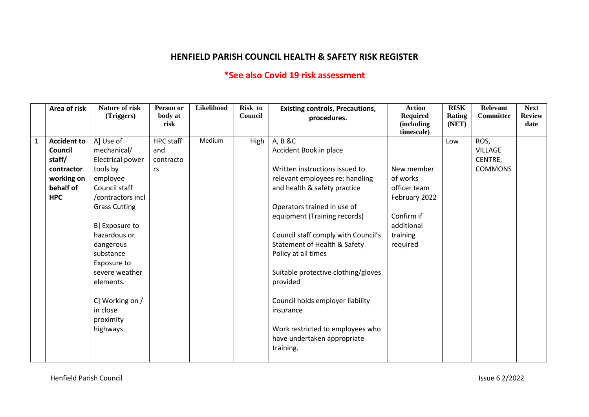## **HENFIELD PARISH COUNCIL HEALTH & SAFETY RISK REGISTER**

## **\*See also Covid 19 risk assessment**

| <b>Next</b>   | <b>Relevant</b> | <b>RISK</b> | <b>Action</b>      | <b>Existing controls, Precautions,</b>                                                                                                                                                                  | Risk to | Likelihood | Person or | <b>Nature of risk</b>                                | Area of risk       |                |
|---------------|-----------------|-------------|--------------------|---------------------------------------------------------------------------------------------------------------------------------------------------------------------------------------------------------|---------|------------|-----------|------------------------------------------------------|--------------------|----------------|
| <b>Review</b> | Committee       | Rating      | <b>Required</b>    | procedures.                                                                                                                                                                                             | Council |            | body at   | (Triggers)                                           |                    |                |
| date          |                 | (NET)       | <i>(including)</i> |                                                                                                                                                                                                         |         |            | risk      |                                                      |                    |                |
|               |                 |             | timescale)         |                                                                                                                                                                                                         |         |            |           |                                                      |                    |                |
|               |                 | Low         |                    | A, B &C                                                                                                                                                                                                 | High    | Medium     | HPC staff | A] Use of                                            | <b>Accident to</b> | $\overline{1}$ |
|               | <b>VILLAGE</b>  |             |                    | Accident Book in place                                                                                                                                                                                  |         |            | and       | mechanical/                                          | Council            |                |
|               | CENTRE,         |             |                    |                                                                                                                                                                                                         |         |            | contracto | Electrical power                                     | staff/             |                |
|               | <b>COMMONS</b>  |             | New member         | Written instructions issued to                                                                                                                                                                          |         |            | rs        | tools by                                             | contractor         |                |
|               |                 |             | of works           | relevant employees re: handling                                                                                                                                                                         |         |            |           | employee                                             | working on         |                |
|               |                 |             | officer team       | and health & safety practice                                                                                                                                                                            |         |            |           | Council staff                                        | behalf of          |                |
|               |                 |             | February 2022      |                                                                                                                                                                                                         |         |            |           | /contractors incl                                    | <b>HPC</b>         |                |
|               |                 |             |                    | Operators trained in use of                                                                                                                                                                             |         |            |           | <b>Grass Cutting</b>                                 |                    |                |
|               |                 |             | Confirm if         | equipment (Training records)                                                                                                                                                                            |         |            |           |                                                      |                    |                |
|               |                 |             | additional         |                                                                                                                                                                                                         |         |            |           | B] Exposure to                                       |                    |                |
|               |                 |             | training           | Council staff comply with Council's                                                                                                                                                                     |         |            |           | hazardous or                                         |                    |                |
|               |                 |             |                    | Statement of Health & Safety                                                                                                                                                                            |         |            |           | dangerous                                            |                    |                |
|               |                 |             |                    |                                                                                                                                                                                                         |         |            |           | substance                                            |                    |                |
|               |                 |             |                    |                                                                                                                                                                                                         |         |            |           | Exposure to                                          |                    |                |
|               |                 |             |                    |                                                                                                                                                                                                         |         |            |           | severe weather                                       |                    |                |
|               |                 |             |                    |                                                                                                                                                                                                         |         |            |           | elements.                                            |                    |                |
|               |                 |             |                    |                                                                                                                                                                                                         |         |            |           |                                                      |                    |                |
|               |                 |             |                    |                                                                                                                                                                                                         |         |            |           |                                                      |                    |                |
|               |                 |             |                    |                                                                                                                                                                                                         |         |            |           |                                                      |                    |                |
|               |                 |             |                    |                                                                                                                                                                                                         |         |            |           |                                                      |                    |                |
|               |                 |             |                    |                                                                                                                                                                                                         |         |            |           |                                                      |                    |                |
|               |                 |             |                    |                                                                                                                                                                                                         |         |            |           |                                                      |                    |                |
|               |                 |             |                    |                                                                                                                                                                                                         |         |            |           |                                                      |                    |                |
|               |                 |             |                    |                                                                                                                                                                                                         |         |            |           |                                                      |                    |                |
|               |                 |             | required           | Policy at all times<br>Suitable protective clothing/gloves<br>provided<br>Council holds employer liability<br>insurance<br>Work restricted to employees who<br>have undertaken appropriate<br>training. |         |            |           | C] Working on /<br>in close<br>proximity<br>highways |                    |                |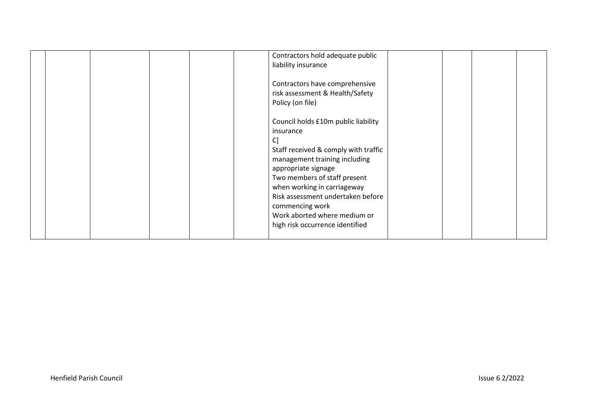|  | Contractors hold adequate public<br>liability insurance                                                                                                                                                                                                                                                                                          |  |  |
|--|--------------------------------------------------------------------------------------------------------------------------------------------------------------------------------------------------------------------------------------------------------------------------------------------------------------------------------------------------|--|--|
|  | Contractors have comprehensive<br>risk assessment & Health/Safety<br>Policy (on file)                                                                                                                                                                                                                                                            |  |  |
|  | Council holds £10m public liability<br>insurance<br>C]<br>Staff received & comply with traffic<br>management training including<br>appropriate signage<br>Two members of staff present<br>when working in carriageway<br>Risk assessment undertaken before<br>commencing work<br>Work aborted where medium or<br>high risk occurrence identified |  |  |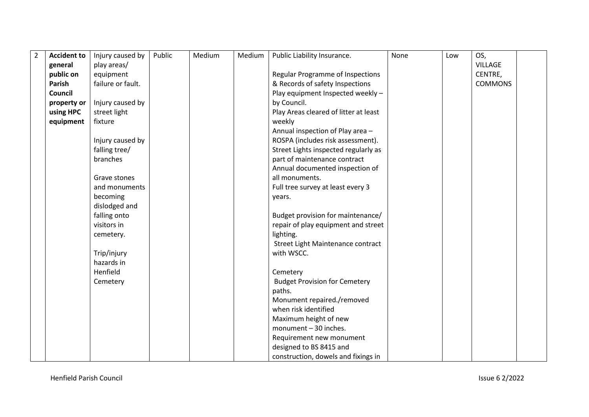| $\overline{2}$ | <b>Accident to</b> | Injury caused by  | Public | Medium | Medium | Public Liability Insurance.                                                                                                                                                                                  | None | Low | OS,            |  |
|----------------|--------------------|-------------------|--------|--------|--------|--------------------------------------------------------------------------------------------------------------------------------------------------------------------------------------------------------------|------|-----|----------------|--|
|                | general            | play areas/       |        |        |        |                                                                                                                                                                                                              |      |     | <b>VILLAGE</b> |  |
|                | public on          | equipment         |        |        |        | Regular Programme of Inspections                                                                                                                                                                             |      |     | CENTRE,        |  |
|                | Parish             | failure or fault. |        |        |        | & Records of safety Inspections                                                                                                                                                                              |      |     | <b>COMMONS</b> |  |
|                | Council            |                   |        |        |        | Play equipment Inspected weekly -                                                                                                                                                                            |      |     |                |  |
|                | property or        | Injury caused by  |        |        |        | by Council.                                                                                                                                                                                                  |      |     |                |  |
|                | using HPC          | street light      |        |        |        | Play Areas cleared of litter at least                                                                                                                                                                        |      |     |                |  |
|                | equipment          | fixture           |        |        |        | weekly                                                                                                                                                                                                       |      |     |                |  |
|                |                    |                   |        |        |        | Annual inspection of Play area -                                                                                                                                                                             |      |     |                |  |
|                |                    | Injury caused by  |        |        |        | ROSPA (includes risk assessment).                                                                                                                                                                            |      |     |                |  |
|                |                    | falling tree/     |        |        |        | Street Lights inspected regularly as                                                                                                                                                                         |      |     |                |  |
|                |                    | branches          |        |        |        | part of maintenance contract                                                                                                                                                                                 |      |     |                |  |
|                |                    |                   |        |        |        | Annual documented inspection of                                                                                                                                                                              |      |     |                |  |
|                |                    | Grave stones      |        |        |        | all monuments.                                                                                                                                                                                               |      |     |                |  |
|                |                    | and monuments     |        |        |        | Full tree survey at least every 3                                                                                                                                                                            |      |     |                |  |
|                |                    | becoming          |        |        |        | years.                                                                                                                                                                                                       |      |     |                |  |
|                |                    | dislodged and     |        |        |        |                                                                                                                                                                                                              |      |     |                |  |
|                |                    | falling onto      |        |        |        | Budget provision for maintenance/                                                                                                                                                                            |      |     |                |  |
|                |                    | visitors in       |        |        |        | repair of play equipment and street                                                                                                                                                                          |      |     |                |  |
|                |                    | cemetery.         |        |        |        | lighting.                                                                                                                                                                                                    |      |     |                |  |
|                |                    |                   |        |        |        | Street Light Maintenance contract                                                                                                                                                                            |      |     |                |  |
|                |                    | Trip/injury       |        |        |        | with WSCC.                                                                                                                                                                                                   |      |     |                |  |
|                |                    | hazards in        |        |        |        |                                                                                                                                                                                                              |      |     |                |  |
|                |                    | Henfield          |        |        |        | Cemetery                                                                                                                                                                                                     |      |     |                |  |
|                |                    | Cemetery          |        |        |        | <b>Budget Provision for Cemetery</b>                                                                                                                                                                         |      |     |                |  |
|                |                    |                   |        |        |        |                                                                                                                                                                                                              |      |     |                |  |
|                |                    |                   |        |        |        |                                                                                                                                                                                                              |      |     |                |  |
|                |                    |                   |        |        |        |                                                                                                                                                                                                              |      |     |                |  |
|                |                    |                   |        |        |        |                                                                                                                                                                                                              |      |     |                |  |
|                |                    |                   |        |        |        |                                                                                                                                                                                                              |      |     |                |  |
|                |                    |                   |        |        |        |                                                                                                                                                                                                              |      |     |                |  |
|                |                    |                   |        |        |        |                                                                                                                                                                                                              |      |     |                |  |
|                |                    |                   |        |        |        | paths.<br>Monument repaired./removed<br>when risk identified<br>Maximum height of new<br>monument - 30 inches.<br>Requirement new monument<br>designed to BS 8415 and<br>construction, dowels and fixings in |      |     |                |  |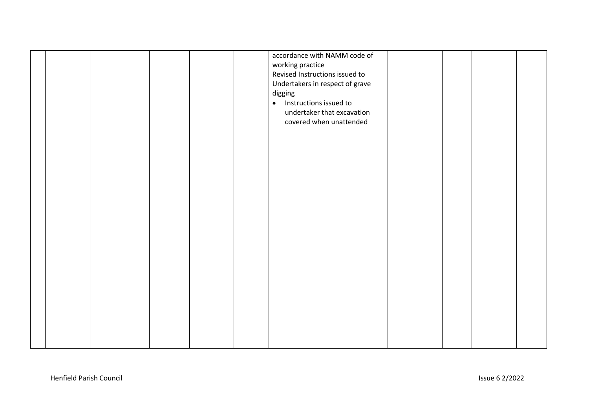|  |  |  | accordance with NAMM code of<br>working practice<br>Revised Instructions issued to<br>Undertakers in respect of grave<br>digging<br>Instructions issued to<br>$\bullet$<br>undertaker that excavation<br>covered when unattended |  |  |
|--|--|--|----------------------------------------------------------------------------------------------------------------------------------------------------------------------------------------------------------------------------------|--|--|
|  |  |  |                                                                                                                                                                                                                                  |  |  |
|  |  |  |                                                                                                                                                                                                                                  |  |  |
|  |  |  |                                                                                                                                                                                                                                  |  |  |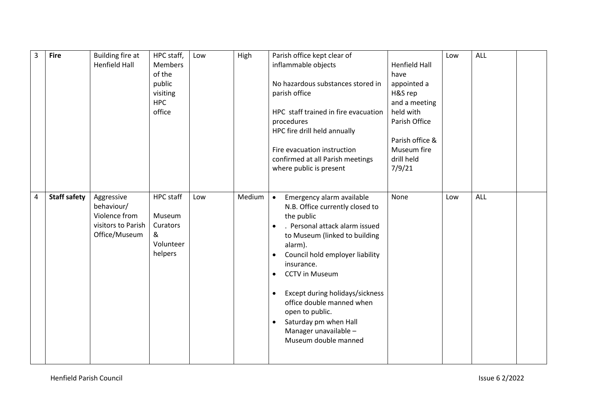| $\overline{3}$ | <b>Fire</b>         | Building fire at     | HPC staff,       | Low | High   | Parish office kept clear of                                  |                      | Low | ALL |  |
|----------------|---------------------|----------------------|------------------|-----|--------|--------------------------------------------------------------|----------------------|-----|-----|--|
|                |                     | <b>Henfield Hall</b> | <b>Members</b>   |     |        | inflammable objects                                          | <b>Henfield Hall</b> |     |     |  |
|                |                     |                      | of the           |     |        |                                                              | have                 |     |     |  |
|                |                     |                      | public           |     |        | No hazardous substances stored in                            | appointed a          |     |     |  |
|                |                     |                      | visiting         |     |        | parish office                                                | H&S rep              |     |     |  |
|                |                     |                      | <b>HPC</b>       |     |        |                                                              | and a meeting        |     |     |  |
|                |                     |                      | office           |     |        | HPC staff trained in fire evacuation                         | held with            |     |     |  |
|                |                     |                      |                  |     |        | procedures                                                   | Parish Office        |     |     |  |
|                |                     |                      |                  |     |        | HPC fire drill held annually                                 |                      |     |     |  |
|                |                     |                      |                  |     |        |                                                              | Parish office &      |     |     |  |
|                |                     |                      |                  |     |        | Fire evacuation instruction                                  | Museum fire          |     |     |  |
|                |                     |                      |                  |     |        | confirmed at all Parish meetings                             | drill held           |     |     |  |
|                |                     |                      |                  |     |        | where public is present                                      | 7/9/21               |     |     |  |
|                |                     |                      |                  |     |        |                                                              |                      |     |     |  |
| $\overline{a}$ | <b>Staff safety</b> | Aggressive           | <b>HPC</b> staff | Low | Medium | $\bullet$                                                    | None                 | Low | ALL |  |
|                |                     | behaviour/           |                  |     |        | Emergency alarm available<br>N.B. Office currently closed to |                      |     |     |  |
|                |                     | Violence from        | Museum           |     |        | the public                                                   |                      |     |     |  |
|                |                     | visitors to Parish   | Curators         |     |        | . Personal attack alarm issued<br>$\bullet$                  |                      |     |     |  |
|                |                     | Office/Museum        | &                |     |        | to Museum (linked to building                                |                      |     |     |  |
|                |                     |                      | Volunteer        |     |        | alarm).                                                      |                      |     |     |  |
|                |                     |                      | helpers          |     |        | Council hold employer liability<br>$\bullet$                 |                      |     |     |  |
|                |                     |                      |                  |     |        | insurance.                                                   |                      |     |     |  |
|                |                     |                      |                  |     |        | <b>CCTV</b> in Museum<br>$\bullet$                           |                      |     |     |  |
|                |                     |                      |                  |     |        |                                                              |                      |     |     |  |
|                |                     |                      |                  |     |        | Except during holidays/sickness<br>$\bullet$                 |                      |     |     |  |
|                |                     |                      |                  |     |        | office double manned when                                    |                      |     |     |  |
|                |                     |                      |                  |     |        | open to public.                                              |                      |     |     |  |
|                |                     |                      |                  |     |        | Saturday pm when Hall<br>$\bullet$                           |                      |     |     |  |
|                |                     |                      |                  |     |        | Manager unavailable -                                        |                      |     |     |  |
|                |                     |                      |                  |     |        | Museum double manned                                         |                      |     |     |  |
|                |                     |                      |                  |     |        |                                                              |                      |     |     |  |
|                |                     |                      |                  |     |        |                                                              |                      |     |     |  |